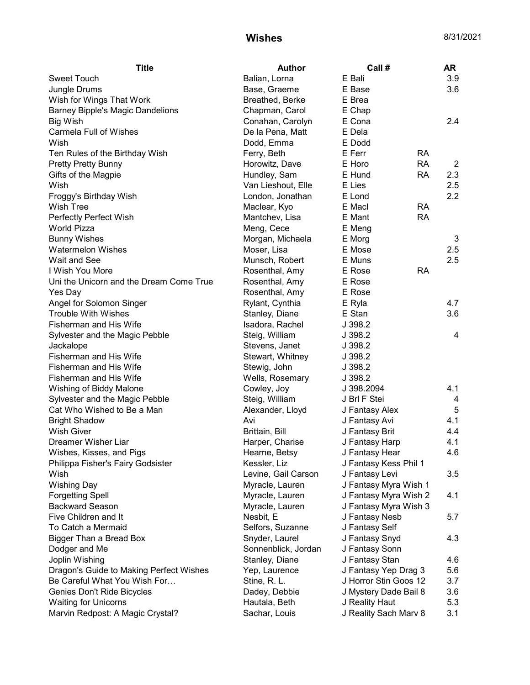| <b>Title</b>                            | <b>Author</b>       | Call #                | <b>AR</b>  |
|-----------------------------------------|---------------------|-----------------------|------------|
| <b>Sweet Touch</b>                      | Balian, Lorna       | E Bali                | 3.9        |
| Jungle Drums                            | Base, Graeme        | E Base                | 3.6        |
| Wish for Wings That Work                | Breathed, Berke     | E Brea                |            |
| <b>Barney Bipple's Magic Dandelions</b> | Chapman, Carol      | E Chap                |            |
| <b>Big Wish</b>                         | Conahan, Carolyn    | E Cona                | 2.4        |
| <b>Carmela Full of Wishes</b>           | De la Pena, Matt    | E Dela                |            |
| Wish                                    | Dodd, Emma          | E Dodd                |            |
| Ten Rules of the Birthday Wish          | Ferry, Beth         | E Ferr<br><b>RA</b>   |            |
| <b>Pretty Pretty Bunny</b>              | Horowitz, Dave      | <b>RA</b><br>E Horo   | 2          |
| Gifts of the Magpie                     | Hundley, Sam        | E Hund<br><b>RA</b>   | 2.3        |
| Wish                                    | Van Lieshout, Elle  | E Lies                | 2.5        |
| Froggy's Birthday Wish                  | London, Jonathan    | E Lond                | 2.2        |
| Wish Tree                               | Maclear, Kyo        | E Macl<br><b>RA</b>   |            |
| Perfectly Perfect Wish                  | Mantchev, Lisa      | <b>RA</b><br>E Mant   |            |
| <b>World Pizza</b>                      | Meng, Cece          | E Meng                |            |
| <b>Bunny Wishes</b>                     | Morgan, Michaela    | E Morg                | 3          |
| <b>Watermelon Wishes</b>                | Moser, Lisa         | E Mose                | 2.5        |
| Wait and See                            | Munsch, Robert      | E Muns                | 2.5        |
| I Wish You More                         | Rosenthal, Amy      | E Rose<br><b>RA</b>   |            |
| Uni the Unicorn and the Dream Come True | Rosenthal, Amy      | E Rose                |            |
| Yes Day                                 | Rosenthal, Amy      | E Rose                |            |
| Angel for Solomon Singer                | Rylant, Cynthia     | E Ryla                | 4.7        |
| <b>Trouble With Wishes</b>              | Stanley, Diane      | E Stan                | 3.6        |
| Fisherman and His Wife                  | Isadora, Rachel     | J 398.2               |            |
| Sylvester and the Magic Pebble          | Steig, William      | J 398.2               | 4          |
| Jackalope                               | Stevens, Janet      | J 398.2               |            |
| Fisherman and His Wife                  | Stewart, Whitney    | J 398.2               |            |
| <b>Fisherman and His Wife</b>           | Stewig, John        | J 398.2               |            |
| <b>Fisherman and His Wife</b>           | Wells, Rosemary     | J 398.2               |            |
| Wishing of Biddy Malone                 | Cowley, Joy         | J 398.2094            | 4.1        |
| Sylvester and the Magic Pebble          | Steig, William      | J Brl F Stei          | 4          |
| Cat Who Wished to Be a Man              | Alexander, Lloyd    | J Fantasy Alex        | 5          |
| <b>Bright Shadow</b>                    | Avi                 | J Fantasy Avi         | 4.1        |
| <b>Wish Giver</b>                       | Brittain, Bill      | J Fantasy Brit        | 4.4        |
| Dreamer Wisher Liar                     | Harper, Charise     | J Fantasy Harp        | 4.1        |
| Wishes, Kisses, and Pigs                | Hearne, Betsy       | J Fantasy Hear        | 4.6        |
| Philippa Fisher's Fairy Godsister       | Kessler, Liz        | J Fantasy Kess Phil 1 |            |
| Wish                                    | Levine, Gail Carson | J Fantasy Levi        | 3.5        |
| <b>Wishing Day</b>                      | Myracle, Lauren     | J Fantasy Myra Wish 1 |            |
| <b>Forgetting Spell</b>                 | Myracle, Lauren     | J Fantasy Myra Wish 2 | 4.1        |
| <b>Backward Season</b>                  | Myracle, Lauren     | J Fantasy Myra Wish 3 |            |
| Five Children and It                    | Nesbit, E           | J Fantasy Nesb        | 5.7        |
| To Catch a Mermaid                      | Selfors, Suzanne    | J Fantasy Self        |            |
| Bigger Than a Bread Box                 | Snyder, Laurel      | J Fantasy Snyd        | 4.3        |
|                                         | Sonnenblick, Jordan |                       |            |
| Dodger and Me                           |                     | J Fantasy Sonn        |            |
| Joplin Wishing                          | Stanley, Diane      | J Fantasy Stan        | 4.6        |
| Dragon's Guide to Making Perfect Wishes | Yep, Laurence       | J Fantasy Yep Drag 3  | 5.6<br>3.7 |
| Be Careful What You Wish For            | Stine, R. L.        | J Horror Stin Goos 12 |            |
| Genies Don't Ride Bicycles              | Dadey, Debbie       | J Mystery Dade Bail 8 | 3.6        |
| <b>Waiting for Unicorns</b>             | Hautala, Beth       | J Reality Haut        | 5.3        |
| Marvin Redpost: A Magic Crystal?        | Sachar, Louis       | J Reality Sach Marv 8 | 3.1        |